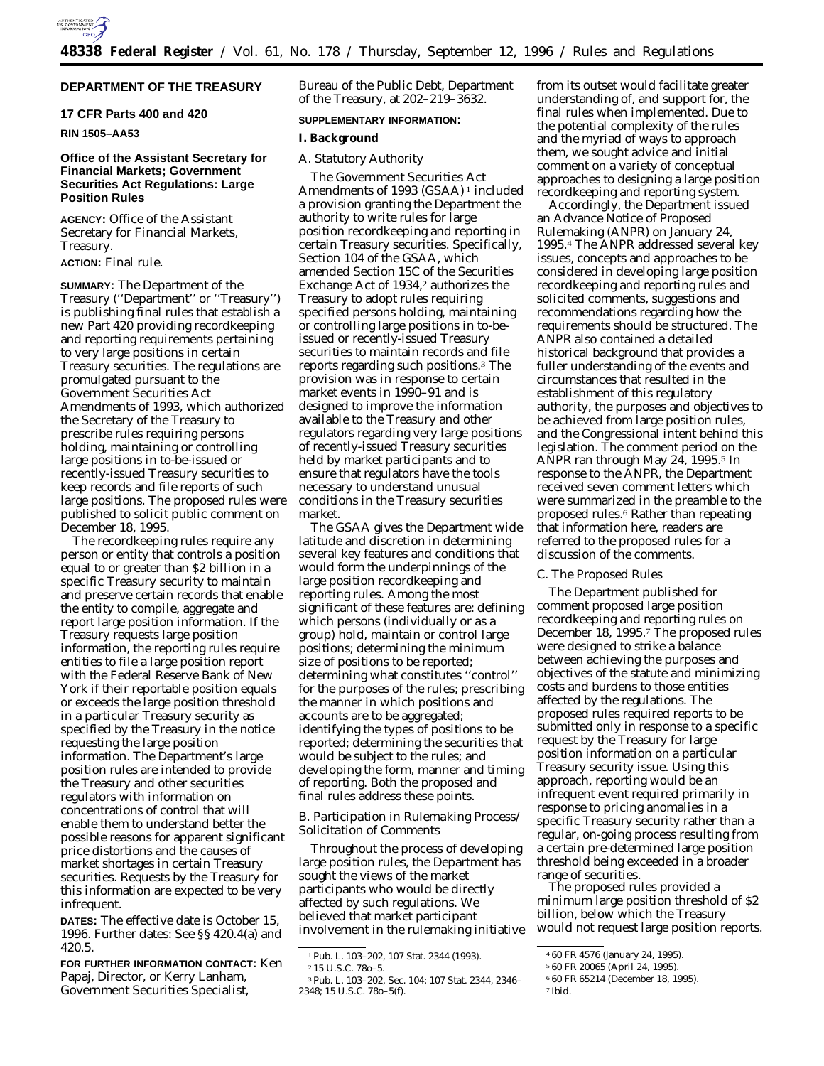

# **DEPARTMENT OF THE TREASURY**

# **17 CFR Parts 400 and 420**

# **RIN 1505–AA53**

# **Office of the Assistant Secretary for Financial Markets; Government Securities Act Regulations: Large Position Rules**

**AGENCY:** Office of the Assistant Secretary for Financial Markets, Treasury.

# **ACTION:** Final rule.

**SUMMARY:** The Department of the Treasury (''Department'' or ''Treasury'') is publishing final rules that establish a new Part 420 providing recordkeeping and reporting requirements pertaining to very large positions in certain Treasury securities. The regulations are promulgated pursuant to the Government Securities Act Amendments of 1993, which authorized the Secretary of the Treasury to prescribe rules requiring persons holding, maintaining or controlling large positions in to-be-issued or recently-issued Treasury securities to keep records and file reports of such large positions. The proposed rules were published to solicit public comment on December 18, 1995.

The recordkeeping rules require any person or entity that controls a position equal to or greater than \$2 billion in a specific Treasury security to maintain and preserve certain records that enable the entity to compile, aggregate and report large position information. If the Treasury requests large position information, the reporting rules require entities to file a large position report with the Federal Reserve Bank of New York if their reportable position equals or exceeds the large position threshold in a particular Treasury security as specified by the Treasury in the notice requesting the large position information. The Department's large position rules are intended to provide the Treasury and other securities regulators with information on concentrations of control that will enable them to understand better the possible reasons for apparent significant price distortions and the causes of market shortages in certain Treasury securities. Requests by the Treasury for this information are expected to be very infrequent.

**DATES:** The effective date is October 15, 1996. Further dates: See §§ 420.4(a) and 420.5.

**FOR FURTHER INFORMATION CONTACT:** Ken Papaj, Director, or Kerry Lanham, Government Securities Specialist,

Bureau of the Public Debt, Department of the Treasury, at 202–219–3632.

## **SUPPLEMENTARY INFORMATION:**

# **I. Background**

### *A. Statutory Authority*

The Government Securities Act Amendments of 1993 (GSAA) 1 included a provision granting the Department the authority to write rules for large position recordkeeping and reporting in certain Treasury securities. Specifically, Section 104 of the GSAA, which amended Section 15C of the Securities Exchange Act of 1934,<sup>2</sup> authorizes the Treasury to adopt rules requiring specified persons holding, maintaining or controlling large positions in to-beissued or recently-issued Treasury securities to maintain records and file reports regarding such positions.3 The provision was in response to certain market events in 1990–91 and is designed to improve the information available to the Treasury and other regulators regarding very large positions of recently-issued Treasury securities held by market participants and to ensure that regulators have the tools necessary to understand unusual conditions in the Treasury securities market.

The GSAA gives the Department wide latitude and discretion in determining several key features and conditions that would form the underpinnings of the large position recordkeeping and reporting rules. Among the most significant of these features are: defining which persons (individually or as a group) hold, maintain or control large positions; determining the minimum size of positions to be reported; determining what constitutes ''control'' for the purposes of the rules; prescribing the manner in which positions and accounts are to be aggregated; identifying the types of positions to be reported; determining the securities that would be subject to the rules; and developing the form, manner and timing of reporting. Both the proposed and final rules address these points.

# *B. Participation in Rulemaking Process/ Solicitation of Comments*

Throughout the process of developing large position rules, the Department has sought the views of the market participants who would be directly affected by such regulations. We believed that market participant involvement in the rulemaking initiative from its outset would facilitate greater understanding of, and support for, the final rules when implemented. Due to the potential complexity of the rules and the myriad of ways to approach them, we sought advice and initial comment on a variety of conceptual approaches to designing a large position recordkeeping and reporting system.

Accordingly, the Department issued an Advance Notice of Proposed Rulemaking (ANPR) on January 24, 1995.4 The ANPR addressed several key issues, concepts and approaches to be considered in developing large position recordkeeping and reporting rules and solicited comments, suggestions and recommendations regarding how the requirements should be structured. The ANPR also contained a detailed historical background that provides a fuller understanding of the events and circumstances that resulted in the establishment of this regulatory authority, the purposes and objectives to be achieved from large position rules, and the Congressional intent behind this legislation. The comment period on the ANPR ran through May 24, 1995.5 In response to the ANPR, the Department received seven comment letters which were summarized in the preamble to the proposed rules.6 Rather than repeating that information here, readers are referred to the proposed rules for a discussion of the comments.

## *C. The Proposed Rules*

The Department published for comment proposed large position recordkeeping and reporting rules on December 18, 1995.7 The proposed rules were designed to strike a balance between achieving the purposes and objectives of the statute and minimizing costs and burdens to those entities affected by the regulations. The proposed rules required reports to be submitted only in response to a specific request by the Treasury for large position information on a particular Treasury security issue. Using this approach, reporting would be an infrequent event required primarily in response to pricing anomalies in a specific Treasury security rather than a regular, on-going process resulting from a certain pre-determined large position threshold being exceeded in a broader range of securities.

The proposed rules provided a minimum large position threshold of \$2 billion, below which the Treasury would not request large position reports.

<sup>1</sup>Pub. L. 103–202, 107 Stat. 2344 (1993).

<sup>2</sup> 15 U.S.C. 78*o*–5.

<sup>3</sup>Pub. L. 103–202, Sec. 104; 107 Stat. 2344, 2346– 2348; 15 U.S.C. 78*o*–5(f).

<sup>4</sup> 60 FR 4576 (January 24, 1995).

<sup>5</sup> 60 FR 20065 (April 24, 1995).

<sup>6</sup> 60 FR 65214 (December 18, 1995).

<sup>7</sup> Ibid.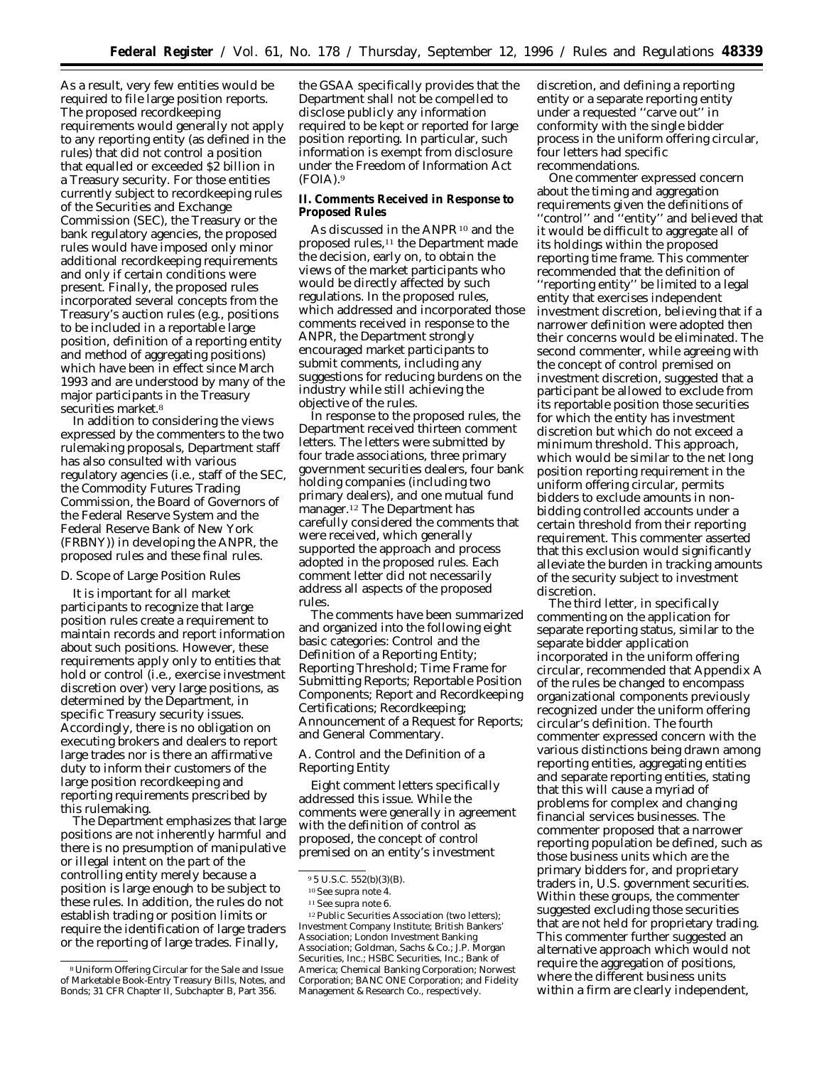As a result, very few entities would be required to file large position reports. The proposed recordkeeping requirements would generally not apply to any reporting entity (as defined in the rules) that did not control a position that equalled or exceeded \$2 billion in a Treasury security. For those entities currently subject to recordkeeping rules of the Securities and Exchange Commission (SEC), the Treasury or the bank regulatory agencies, the proposed rules would have imposed only minor additional recordkeeping requirements and only if certain conditions were present. Finally, the proposed rules incorporated several concepts from the Treasury's auction rules (e.g., positions to be included in a reportable large position, definition of a reporting entity and method of aggregating positions) which have been in effect since March 1993 and are understood by many of the major participants in the Treasury securities market.<sup>8</sup>

In addition to considering the views expressed by the commenters to the two rulemaking proposals, Department staff has also consulted with various regulatory agencies (i.e., staff of the SEC, the Commodity Futures Trading Commission, the Board of Governors of the Federal Reserve System and the Federal Reserve Bank of New York (FRBNY)) in developing the ANPR, the proposed rules and these final rules.

## *D. Scope of Large Position Rules*

It is important for all market participants to recognize that large position rules create a requirement to maintain records and report information about such positions. However, these requirements apply only to entities that hold or control (i.e., exercise investment discretion over) very large positions, as determined by the Department, in specific Treasury security issues. Accordingly, there is no obligation on executing brokers and dealers to report large trades nor is there an affirmative duty to inform their customers of the large position recordkeeping and reporting requirements prescribed by this rulemaking.

The Department emphasizes that large positions are not inherently harmful and there is no presumption of manipulative or illegal intent on the part of the controlling entity merely because a position is large enough to be subject to these rules. In addition, the rules do not establish trading or position limits or require the identification of large traders or the reporting of large trades. Finally,

the GSAA specifically provides that the Department shall not be compelled to disclose publicly any information required to be kept or reported for large position reporting. In particular, such information is exempt from disclosure under the Freedom of Information Act (FOIA).9

**II. Comments Received in Response to Proposed Rules**

As discussed in the ANPR<sup>10</sup> and the proposed rules,11 the Department made the decision, early on, to obtain the views of the market participants who would be directly affected by such regulations. In the proposed rules, which addressed and incorporated those comments received in response to the ANPR, the Department strongly encouraged market participants to submit comments, including any suggestions for reducing burdens on the industry while still achieving the objective of the rules.

In response to the proposed rules, the Department received thirteen comment letters. The letters were submitted by four trade associations, three primary government securities dealers, four bank holding companies (including two primary dealers), and one mutual fund manager.12 The Department has carefully considered the comments that were received, which generally supported the approach and process adopted in the proposed rules. Each comment letter did not necessarily address all aspects of the proposed rules.

The comments have been summarized and organized into the following eight basic categories: Control and the Definition of a Reporting Entity; Reporting Threshold; Time Frame for Submitting Reports; Reportable Position Components; Report and Recordkeeping Certifications; Recordkeeping; Announcement of a Request for Reports; and General Commentary.

# *A. Control and the Definition of a Reporting Entity*

Eight comment letters specifically addressed this issue. While the comments were generally in agreement with the definition of control as proposed, the concept of control premised on an entity's investment

discretion, and defining a reporting entity or a separate reporting entity under a requested ''carve out'' in conformity with the single bidder process in the uniform offering circular, four letters had specific recommendations.

One commenter expressed concern about the timing and aggregation requirements given the definitions of ''control'' and ''entity'' and believed that it would be difficult to aggregate all of its holdings within the proposed reporting time frame. This commenter recommended that the definition of ''reporting entity'' be limited to a legal entity that exercises independent investment discretion, believing that if a narrower definition were adopted then their concerns would be eliminated. The second commenter, while agreeing with the concept of control premised on investment discretion, suggested that a participant be allowed to exclude from its reportable position those securities for which the entity has investment discretion but which do not exceed a minimum threshold. This approach, which would be similar to the net long position reporting requirement in the uniform offering circular, permits bidders to exclude amounts in nonbidding controlled accounts under a certain threshold from their reporting requirement. This commenter asserted that this exclusion would significantly alleviate the burden in tracking amounts of the security subject to investment discretion.

The third letter, in specifically commenting on the application for separate reporting status, similar to the separate bidder application incorporated in the uniform offering circular, recommended that Appendix A of the rules be changed to encompass organizational components previously recognized under the uniform offering circular's definition. The fourth commenter expressed concern with the various distinctions being drawn among reporting entities, aggregating entities and separate reporting entities, stating that this will cause a myriad of problems for complex and changing financial services businesses. The commenter proposed that a narrower reporting population be defined, such as those business units which are the primary bidders for, and proprietary traders in, U.S. government securities. Within these groups, the commenter suggested excluding those securities that are not held for proprietary trading. This commenter further suggested an alternative approach which would not require the aggregation of positions, where the different business units within a firm are clearly independent,

<sup>8</sup>Uniform Offering Circular for the Sale and Issue of Marketable Book-Entry Treasury Bills, Notes, and Bonds; 31 CFR Chapter II, Subchapter B, Part 356.

<sup>9</sup> 5 U.S.C. 552(b)(3)(B).

<sup>10</sup>See *supra* note 4.

<sup>11</sup>See *supra* note 6.

<sup>&</sup>lt;sup>12</sup> Public Securities Association (two letters); Investment Company Institute; British Bankers' Association; London Investment Banking Association; Goldman, Sachs & Co.; J.P. Morgan Securities, Inc.; HSBC Securities, Inc.; Bank of America; Chemical Banking Corporation; Norwest Corporation; BANC ONE Corporation; and Fidelity Management & Research Co., respectively.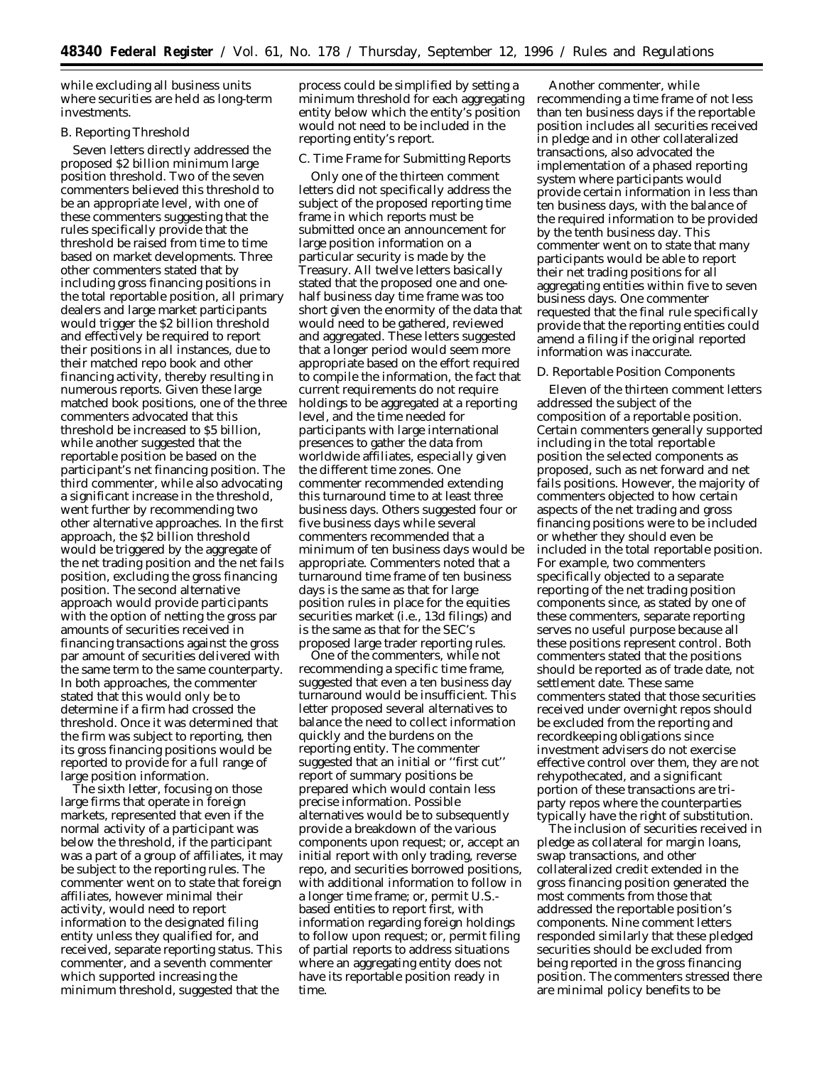while excluding all business units where securities are held as long-term investments.

# *B. Reporting Threshold*

Seven letters directly addressed the proposed \$2 billion minimum large position threshold. Two of the seven commenters believed this threshold to be an appropriate level, with one of these commenters suggesting that the rules specifically provide that the threshold be raised from time to time based on market developments. Three other commenters stated that by including gross financing positions in the total reportable position, all primary dealers and large market participants would trigger the \$2 billion threshold and effectively be required to report their positions in all instances, due to their matched repo book and other financing activity, thereby resulting in numerous reports. Given these large matched book positions, one of the three commenters advocated that this threshold be increased to \$5 billion, while another suggested that the reportable position be based on the participant's net financing position. The third commenter, while also advocating a significant increase in the threshold, went further by recommending two other alternative approaches. In the first approach, the \$2 billion threshold would be triggered by the aggregate of the net trading position and the net fails position, excluding the gross financing position. The second alternative approach would provide participants with the option of netting the gross par amounts of securities received in financing transactions against the gross par amount of securities delivered with the same term to the same counterparty. In both approaches, the commenter stated that this would only be to determine if a firm had crossed the threshold. Once it was determined that the firm was subject to reporting, then its gross financing positions would be reported to provide for a full range of large position information.

The sixth letter, focusing on those large firms that operate in foreign markets, represented that even if the normal activity of a participant was below the threshold, if the participant was a part of a group of affiliates, it may be subject to the reporting rules. The commenter went on to state that foreign affiliates, however minimal their activity, would need to report information to the designated filing entity unless they qualified for, and received, separate reporting status. This commenter, and a seventh commenter which supported increasing the minimum threshold, suggested that the

process could be simplified by setting a minimum threshold for each aggregating entity below which the entity's position would not need to be included in the reporting entity's report.

## *C. Time Frame for Submitting Reports*

Only one of the thirteen comment letters did not specifically address the subject of the proposed reporting time frame in which reports must be submitted once an announcement for large position information on a particular security is made by the Treasury. All twelve letters basically stated that the proposed one and onehalf business day time frame was too short given the enormity of the data that would need to be gathered, reviewed and aggregated. These letters suggested that a longer period would seem more appropriate based on the effort required to compile the information, the fact that current requirements do not require holdings to be aggregated at a reporting level, and the time needed for participants with large international presences to gather the data from worldwide affiliates, especially given the different time zones. One commenter recommended extending this turnaround time to at least three business days. Others suggested four or five business days while several commenters recommended that a minimum of ten business days would be appropriate. Commenters noted that a turnaround time frame of ten business days is the same as that for large position rules in place for the equities securities market (i.e., 13d filings) and is the same as that for the SEC's proposed large trader reporting rules.

One of the commenters, while not recommending a specific time frame, suggested that even a ten business day turnaround would be insufficient. This letter proposed several alternatives to balance the need to collect information quickly and the burdens on the reporting entity. The commenter suggested that an initial or ''first cut'' report of summary positions be prepared which would contain less precise information. Possible alternatives would be to subsequently provide a breakdown of the various components upon request; or, accept an initial report with only trading, reverse repo, and securities borrowed positions, with additional information to follow in a longer time frame; or, permit U.S. based entities to report first, with information regarding foreign holdings to follow upon request; or, permit filing of partial reports to address situations where an aggregating entity does not have its reportable position ready in time.

Another commenter, while recommending a time frame of not less than ten business days if the reportable position includes all securities received in pledge and in other collateralized transactions, also advocated the implementation of a phased reporting system where participants would provide certain information in less than ten business days, with the balance of the required information to be provided by the tenth business day. This commenter went on to state that many participants would be able to report their net trading positions for all aggregating entities within five to seven business days. One commenter requested that the final rule specifically provide that the reporting entities could amend a filing if the original reported information was inaccurate.

#### *D. Reportable Position Components*

Eleven of the thirteen comment letters addressed the subject of the composition of a reportable position. Certain commenters generally supported including in the total reportable position the selected components as proposed, such as net forward and net fails positions. However, the majority of commenters objected to how certain aspects of the net trading and gross financing positions were to be included or whether they should even be included in the total reportable position. For example, two commenters specifically objected to a separate reporting of the net trading position components since, as stated by one of these commenters, separate reporting serves no useful purpose because all these positions represent control. Both commenters stated that the positions should be reported as of trade date, not settlement date. These same commenters stated that those securities received under overnight repos should be excluded from the reporting and recordkeeping obligations since investment advisers do not exercise effective control over them, they are not rehypothecated, and a significant portion of these transactions are triparty repos where the counterparties typically have the right of substitution.

The inclusion of securities received in pledge as collateral for margin loans, swap transactions, and other collateralized credit extended in the gross financing position generated the most comments from those that addressed the reportable position's components. Nine comment letters responded similarly that these pledged securities should be excluded from being reported in the gross financing position. The commenters stressed there are minimal policy benefits to be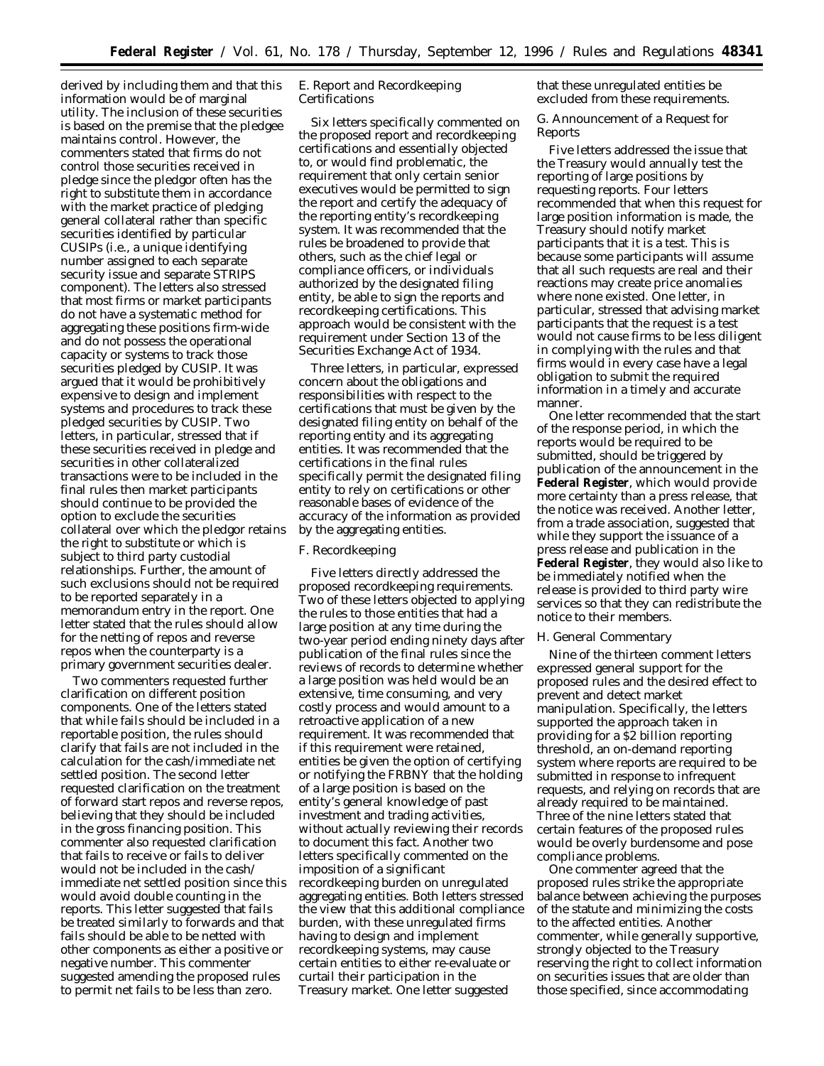derived by including them and that this information would be of marginal utility. The inclusion of these securities is based on the premise that the pledgee maintains control. However, the commenters stated that firms do not control those securities received in pledge since the pledgor often has the right to substitute them in accordance with the market practice of pledging general collateral rather than specific securities identified by particular CUSIPs (i.e., a unique identifying number assigned to each separate security issue and separate STRIPS component). The letters also stressed that most firms or market participants do not have a systematic method for aggregating these positions firm-wide and do not possess the operational capacity or systems to track those securities pledged by CUSIP. It was argued that it would be prohibitively expensive to design and implement systems and procedures to track these pledged securities by CUSIP. Two letters, in particular, stressed that if these securities received in pledge and securities in other collateralized transactions were to be included in the final rules then market participants should continue to be provided the option to exclude the securities collateral over which the pledgor retains the right to substitute or which is subject to third party custodial relationships. Further, the amount of such exclusions should not be required to be reported separately in a memorandum entry in the report. One letter stated that the rules should allow for the netting of repos and reverse repos when the counterparty is a primary government securities dealer.

Two commenters requested further clarification on different position components. One of the letters stated that while fails should be included in a reportable position, the rules should clarify that fails are not included in the calculation for the cash/immediate net settled position. The second letter requested clarification on the treatment of forward start repos and reverse repos, believing that they should be included in the gross financing position. This commenter also requested clarification that fails to receive or fails to deliver would not be included in the cash/ immediate net settled position since this would avoid double counting in the reports. This letter suggested that fails be treated similarly to forwards and that fails should be able to be netted with other components as either a positive or negative number. This commenter suggested amending the proposed rules to permit net fails to be less than zero.

# *E. Report and Recordkeeping Certifications*

Six letters specifically commented on the proposed report and recordkeeping certifications and essentially objected to, or would find problematic, the requirement that only certain senior executives would be permitted to sign the report and certify the adequacy of the reporting entity's recordkeeping system. It was recommended that the rules be broadened to provide that others, such as the chief legal or compliance officers, or individuals authorized by the designated filing entity, be able to sign the reports and recordkeeping certifications. This approach would be consistent with the requirement under Section 13 of the Securities Exchange Act of 1934.

Three letters, in particular, expressed concern about the obligations and responsibilities with respect to the certifications that must be given by the designated filing entity on behalf of the reporting entity and its aggregating entities. It was recommended that the certifications in the final rules specifically permit the designated filing entity to rely on certifications or other reasonable bases of evidence of the accuracy of the information as provided by the aggregating entities.

# *F. Recordkeeping*

Five letters directly addressed the proposed recordkeeping requirements. Two of these letters objected to applying the rules to those entities that had a large position at any time during the two-year period ending ninety days after publication of the final rules since the reviews of records to determine whether a large position was held would be an extensive, time consuming, and very costly process and would amount to a retroactive application of a new requirement. It was recommended that if this requirement were retained, entities be given the option of certifying or notifying the FRBNY that the holding of a large position is based on the entity's general knowledge of past investment and trading activities, without actually reviewing their records to document this fact. Another two letters specifically commented on the imposition of a significant recordkeeping burden on unregulated aggregating entities. Both letters stressed the view that this additional compliance burden, with these unregulated firms having to design and implement recordkeeping systems, may cause certain entities to either re-evaluate or curtail their participation in the Treasury market. One letter suggested

that these unregulated entities be excluded from these requirements.

## *G. Announcement of a Request for Reports*

Five letters addressed the issue that the Treasury would annually test the reporting of large positions by requesting reports. Four letters recommended that when this request for large position information is made, the Treasury should notify market participants that it is a test. This is because some participants will assume that all such requests are real and their reactions may create price anomalies where none existed. One letter, in particular, stressed that advising market participants that the request is a test would not cause firms to be less diligent in complying with the rules and that firms would in every case have a legal obligation to submit the required information in a timely and accurate manner.

One letter recommended that the start of the response period, in which the reports would be required to be submitted, should be triggered by publication of the announcement in the **Federal Register**, which would provide more certainty than a press release, that the notice was received. Another letter, from a trade association, suggested that while they support the issuance of a press release and publication in the **Federal Register**, they would also like to be immediately notified when the release is provided to third party wire services so that they can redistribute the notice to their members.

## *H. General Commentary*

Nine of the thirteen comment letters expressed general support for the proposed rules and the desired effect to prevent and detect market manipulation. Specifically, the letters supported the approach taken in providing for a \$2 billion reporting threshold, an on-demand reporting system where reports are required to be submitted in response to infrequent requests, and relying on records that are already required to be maintained. Three of the nine letters stated that certain features of the proposed rules would be overly burdensome and pose compliance problems.

One commenter agreed that the proposed rules strike the appropriate balance between achieving the purposes of the statute and minimizing the costs to the affected entities. Another commenter, while generally supportive, strongly objected to the Treasury reserving the right to collect information on securities issues that are older than those specified, since accommodating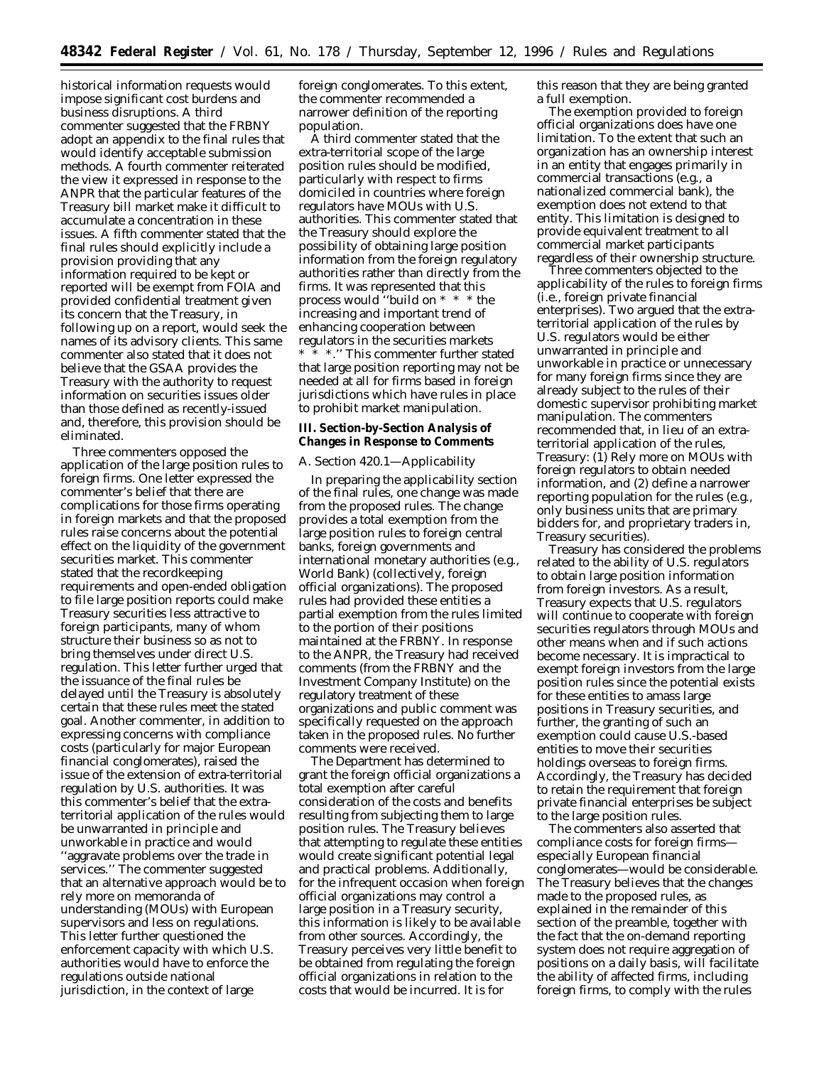historical information requests would impose significant cost burdens and business disruptions. A third commenter suggested that the FRBNY adopt an appendix to the final rules that would identify acceptable submission methods. A fourth commenter reiterated the view it expressed in response to the ANPR that the particular features of the Treasury bill market make it difficult to accumulate a concentration in these issues. A fifth commenter stated that the final rules should explicitly include a provision providing that any information required to be kept or reported will be exempt from FOIA and provided confidential treatment given its concern that the Treasury, in following up on a report, would seek the names of its advisory clients. This same commenter also stated that it does not believe that the GSAA provides the Treasury with the authority to request information on securities issues older than those defined as recently-issued and, therefore, this provision should be eliminated.

Three commenters opposed the application of the large position rules to foreign firms. One letter expressed the commenter's belief that there are complications for those firms operating in foreign markets and that the proposed rules raise concerns about the potential effect on the liquidity of the government securities market. This commenter stated that the recordkeeping requirements and open-ended obligation to file large position reports could make Treasury securities less attractive to foreign participants, many of whom structure their business so as not to bring themselves under direct U.S. regulation. This letter further urged that the issuance of the final rules be delayed until the Treasury is absolutely certain that these rules meet the stated goal. Another commenter, in addition to expressing concerns with compliance costs (particularly for major European financial conglomerates), raised the issue of the extension of extra-territorial regulation by U.S. authorities. It was this commenter's belief that the extraterritorial application of the rules would be unwarranted in principle and unworkable in practice and would ''aggravate problems over the trade in services.'' The commenter suggested that an alternative approach would be to rely more on memoranda of understanding (MOUs) with European supervisors and less on regulations. This letter further questioned the enforcement capacity with which U.S. authorities would have to enforce the regulations outside national jurisdiction, in the context of large

foreign conglomerates. To this extent, the commenter recommended a narrower definition of the reporting population.

A third commenter stated that the extra-territorial scope of the large position rules should be modified, particularly with respect to firms domiciled in countries where foreign regulators have MOUs with U.S. authorities. This commenter stated that the Treasury should explore the possibility of obtaining large position information from the foreign regulatory authorities rather than directly from the firms. It was represented that this process would ''build on \* \* \* the increasing and important trend of enhancing cooperation between regulators in the securities markets

\* \* \*.'' This commenter further stated that large position reporting may not be needed at all for firms based in foreign jurisdictions which have rules in place to prohibit market manipulation.

**III. Section-by-Section Analysis of Changes in Response to Comments**

# *A. Section 420.1—Applicability*

In preparing the applicability section of the final rules, one change was made from the proposed rules. The change provides a total exemption from the large position rules to foreign central banks, foreign governments and international monetary authorities (e.g., World Bank) (collectively, foreign official organizations). The proposed rules had provided these entities a partial exemption from the rules limited to the portion of their positions maintained at the FRBNY. In response to the ANPR, the Treasury had received comments (from the FRBNY and the Investment Company Institute) on the regulatory treatment of these organizations and public comment was specifically requested on the approach taken in the proposed rules. No further comments were received.

The Department has determined to grant the foreign official organizations a total exemption after careful consideration of the costs and benefits resulting from subjecting them to large position rules. The Treasury believes that attempting to regulate these entities would create significant potential legal and practical problems. Additionally, for the infrequent occasion when foreign official organizations may control a large position in a Treasury security, this information is likely to be available from other sources. Accordingly, the Treasury perceives very little benefit to be obtained from regulating the foreign official organizations in relation to the costs that would be incurred. It is for

this reason that they are being granted a full exemption.

The exemption provided to foreign official organizations does have one limitation. To the extent that such an organization has an ownership interest in an entity that engages primarily in commercial transactions (e.g., a nationalized commercial bank), the exemption does not extend to that entity. This limitation is designed to provide equivalent treatment to all commercial market participants regardless of their ownership structure.

Three commenters objected to the applicability of the rules to foreign firms (i.e., foreign private financial enterprises). Two argued that the extraterritorial application of the rules by U.S. regulators would be either unwarranted in principle and unworkable in practice or unnecessary for many foreign firms since they are already subject to the rules of their domestic supervisor prohibiting market manipulation. The commenters recommended that, in lieu of an extraterritorial application of the rules, Treasury: (1) Rely more on MOUs with foreign regulators to obtain needed information, and (2) define a narrower reporting population for the rules (e.g., only business units that are primary bidders for, and proprietary traders in, Treasury securities).

Treasury has considered the problems related to the ability of U.S. regulators to obtain large position information from foreign investors. As a result, Treasury expects that U.S. regulators will continue to cooperate with foreign securities regulators through MOUs and other means when and if such actions become necessary. It is impractical to exempt foreign investors from the large position rules since the potential exists for these entities to amass large positions in Treasury securities, and further, the granting of such an exemption could cause U.S.-based entities to move their securities holdings overseas to foreign firms. Accordingly, the Treasury has decided to retain the requirement that foreign private financial enterprises be subject to the large position rules.

The commenters also asserted that compliance costs for foreign firms especially European financial conglomerates—would be considerable. The Treasury believes that the changes made to the proposed rules, as explained in the remainder of this section of the preamble, together with the fact that the on-demand reporting system does not require aggregation of positions on a daily basis, will facilitate the ability of affected firms, including foreign firms, to comply with the rules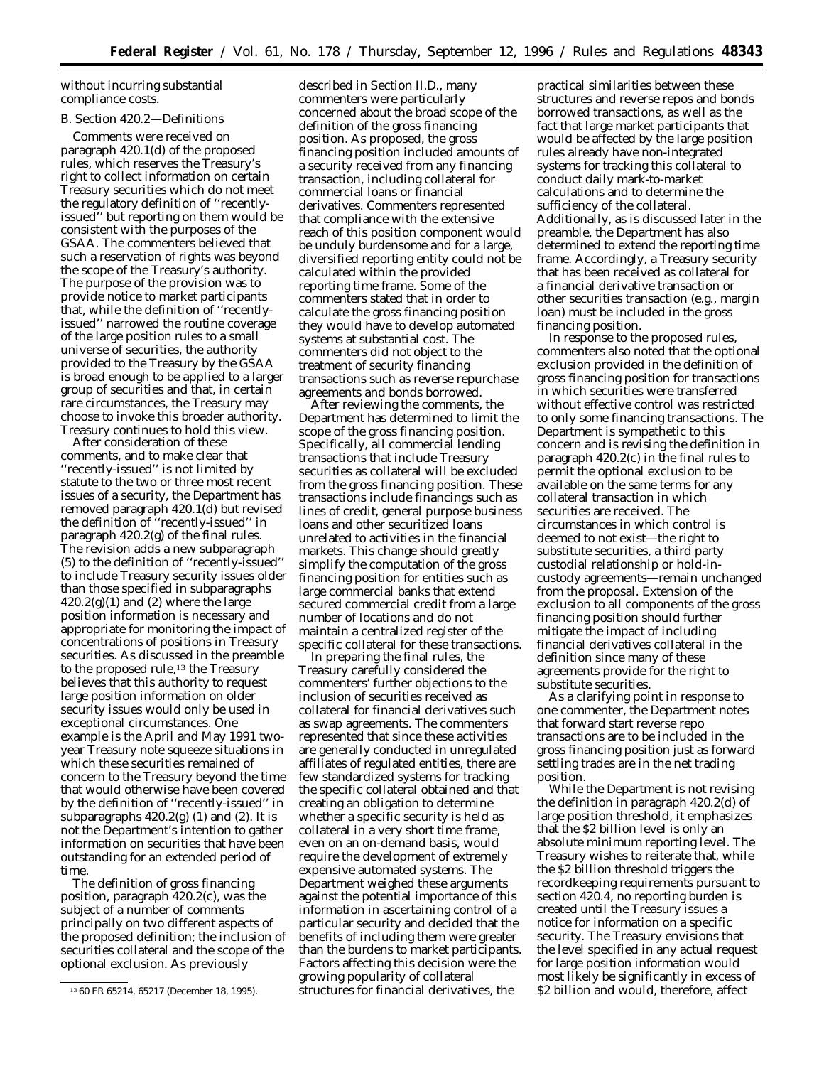without incurring substantial compliance costs.

### *B. Section 420.2—Definitions*

Comments were received on paragraph 420.1(d) of the proposed rules, which reserves the Treasury's right to collect information on certain Treasury securities which do not meet the regulatory definition of ''recentlyissued'' but reporting on them would be consistent with the purposes of the GSAA. The commenters believed that such a reservation of rights was beyond the scope of the Treasury's authority. The purpose of the provision was to provide notice to market participants that, while the definition of ''recentlyissued'' narrowed the routine coverage of the large position rules to a small universe of securities, the authority provided to the Treasury by the GSAA is broad enough to be applied to a larger group of securities and that, in certain rare circumstances, the Treasury may choose to invoke this broader authority. Treasury continues to hold this view.

After consideration of these comments, and to make clear that ''recently-issued'' is not limited by statute to the two or three most recent issues of a security, the Department has removed paragraph 420.1(d) but revised the definition of ''recently-issued'' in paragraph 420.2(g) of the final rules. The revision adds a new subparagraph (5) to the definition of ''recently-issued'' to include Treasury security issues older than those specified in subparagraphs  $420.2(g)(1)$  and (2) where the large position information is necessary and appropriate for monitoring the impact of concentrations of positions in Treasury securities. As discussed in the preamble to the proposed rule,<sup>13</sup> the Treasury believes that this authority to request large position information on older security issues would only be used in exceptional circumstances. One example is the April and May 1991 twoyear Treasury note squeeze situations in which these securities remained of concern to the Treasury beyond the time that would otherwise have been covered by the definition of ''recently-issued'' in subparagraphs  $420.2(g)$  (1) and (2). It is not the Department's intention to gather information on securities that have been outstanding for an extended period of time.

The definition of gross financing position, paragraph 420.2(c), was the subject of a number of comments principally on two different aspects of the proposed definition; the inclusion of securities collateral and the scope of the optional exclusion. As previously

described in Section II.D., many commenters were particularly concerned about the broad scope of the definition of the gross financing position. As proposed, the gross financing position included amounts of a security received from any financing transaction, including collateral for commercial loans or financial derivatives. Commenters represented that compliance with the extensive reach of this position component would be unduly burdensome and for a large, diversified reporting entity could not be calculated within the provided reporting time frame. Some of the commenters stated that in order to calculate the gross financing position they would have to develop automated systems at substantial cost. The commenters did not object to the treatment of security financing transactions such as reverse repurchase agreements and bonds borrowed.

After reviewing the comments, the Department has determined to limit the scope of the gross financing position. Specifically, all commercial lending transactions that include Treasury securities as collateral will be excluded from the gross financing position. These transactions include financings such as lines of credit, general purpose business loans and other securitized loans unrelated to activities in the financial markets. This change should greatly simplify the computation of the gross financing position for entities such as large commercial banks that extend secured commercial credit from a large number of locations and do not maintain a centralized register of the specific collateral for these transactions.

In preparing the final rules, the Treasury carefully considered the commenters' further objections to the inclusion of securities received as collateral for financial derivatives such as swap agreements. The commenters represented that since these activities are generally conducted in unregulated affiliates of regulated entities, there are few standardized systems for tracking the specific collateral obtained and that creating an obligation to determine whether a specific security is held as collateral in a very short time frame, even on an on-demand basis, would require the development of extremely expensive automated systems. The Department weighed these arguments against the potential importance of this information in ascertaining control of a particular security and decided that the benefits of including them were greater than the burdens to market participants. Factors affecting this decision were the growing popularity of collateral structures for financial derivatives, the

practical similarities between these structures and reverse repos and bonds borrowed transactions, as well as the fact that large market participants that would be affected by the large position rules already have non-integrated systems for tracking this collateral to conduct daily mark-to-market calculations and to determine the sufficiency of the collateral. Additionally, as is discussed later in the preamble, the Department has also determined to extend the reporting time frame. Accordingly, a Treasury security that has been received as collateral for a financial derivative transaction or other securities transaction (e.g., margin loan) must be included in the gross financing position.

In response to the proposed rules, commenters also noted that the optional exclusion provided in the definition of gross financing position for transactions in which securities were transferred without effective control was restricted to only some financing transactions. The Department is sympathetic to this concern and is revising the definition in paragraph 420.2(c) in the final rules to permit the optional exclusion to be available on the same terms for any collateral transaction in which securities are received. The circumstances in which control is deemed to not exist—the right to substitute securities, a third party custodial relationship or hold-incustody agreements—remain unchanged from the proposal. Extension of the exclusion to all components of the gross financing position should further mitigate the impact of including financial derivatives collateral in the definition since many of these agreements provide for the right to substitute securities.

As a clarifying point in response to one commenter, the Department notes that forward start reverse repo transactions are to be included in the gross financing position just as forward settling trades are in the net trading position.

While the Department is not revising the definition in paragraph 420.2(d) of large position threshold, it emphasizes that the \$2 billion level is only an absolute minimum reporting level. The Treasury wishes to reiterate that, while the \$2 billion threshold triggers the recordkeeping requirements pursuant to section 420.4, no reporting burden is created until the Treasury issues a notice for information on a specific security. The Treasury envisions that the level specified in any actual request for large position information would most likely be significantly in excess of \$2 billion and would, therefore, affect

<sup>13</sup> 60 FR 65214, 65217 (December 18, 1995).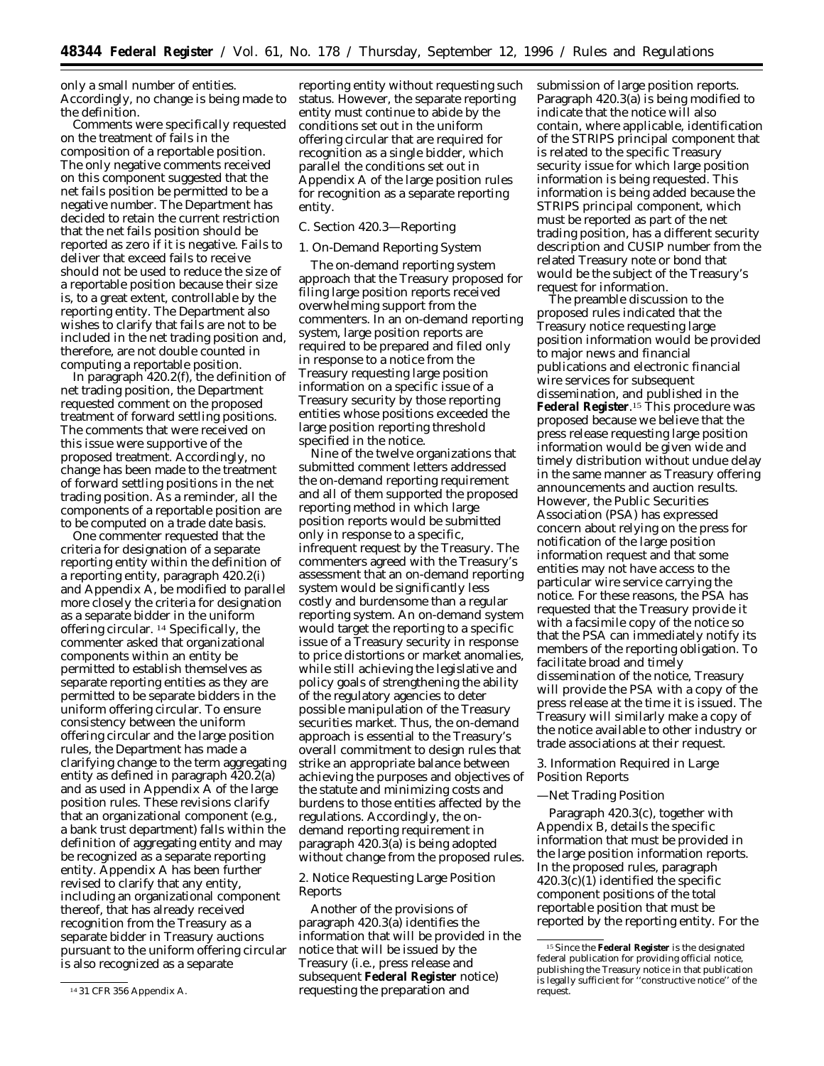only a small number of entities. Accordingly, no change is being made to the definition.

Comments were specifically requested on the treatment of fails in the composition of a reportable position. The only negative comments received on this component suggested that the net fails position be permitted to be a negative number. The Department has decided to retain the current restriction that the net fails position should be reported as zero if it is negative. Fails to deliver that exceed fails to receive should not be used to reduce the size of a reportable position because their size is, to a great extent, controllable by the reporting entity. The Department also wishes to clarify that fails are not to be included in the net trading position and, therefore, are not double counted in computing a reportable position.

In paragraph 420.2(f), the definition of net trading position, the Department requested comment on the proposed treatment of forward settling positions. The comments that were received on this issue were supportive of the proposed treatment. Accordingly, no change has been made to the treatment of forward settling positions in the net trading position. As a reminder, all the components of a reportable position are to be computed on a trade date basis.

One commenter requested that the criteria for designation of a separate reporting entity within the definition of a reporting entity, paragraph 420.2(i) and Appendix A, be modified to parallel more closely the criteria for designation as a separate bidder in the uniform offering circular. 14 Specifically, the commenter asked that organizational components within an entity be permitted to establish themselves as separate reporting entities as they are permitted to be separate bidders in the uniform offering circular. To ensure consistency between the uniform offering circular and the large position rules, the Department has made a clarifying change to the term aggregating entity as defined in paragraph 420.2(a) and as used in Appendix A of the large position rules. These revisions clarify that an organizational component (e.g., a bank trust department) falls within the definition of aggregating entity and may be recognized as a separate reporting entity. Appendix A has been further revised to clarify that any entity, including an organizational component thereof, that has already received recognition from the Treasury as a separate bidder in Treasury auctions pursuant to the uniform offering circular is also recognized as a separate

reporting entity without requesting such status. However, the separate reporting entity must continue to abide by the conditions set out in the uniform offering circular that are required for recognition as a single bidder, which parallel the conditions set out in Appendix A of the large position rules for recognition as a separate reporting entity.

# *C. Section 420.3—Reporting*

#### 1. On-Demand Reporting System

The on-demand reporting system approach that the Treasury proposed for filing large position reports received overwhelming support from the commenters. In an on-demand reporting system, large position reports are required to be prepared and filed only in response to a notice from the Treasury requesting large position information on a specific issue of a Treasury security by those reporting entities whose positions exceeded the large position reporting threshold specified in the notice.

Nine of the twelve organizations that submitted comment letters addressed the on-demand reporting requirement and all of them supported the proposed reporting method in which large position reports would be submitted only in response to a specific, infrequent request by the Treasury. The commenters agreed with the Treasury's assessment that an on-demand reporting system would be significantly less costly and burdensome than a regular reporting system. An on-demand system would target the reporting to a specific issue of a Treasury security in response to price distortions or market anomalies, while still achieving the legislative and policy goals of strengthening the ability of the regulatory agencies to deter possible manipulation of the Treasury securities market. Thus, the on-demand approach is essential to the Treasury's overall commitment to design rules that strike an appropriate balance between achieving the purposes and objectives of the statute and minimizing costs and burdens to those entities affected by the regulations. Accordingly, the ondemand reporting requirement in paragraph 420.3(a) is being adopted without change from the proposed rules.

# 2. Notice Requesting Large Position Reports

Another of the provisions of paragraph 420.3(a) identifies the information that will be provided in the notice that will be issued by the Treasury (i.e., press release and subsequent **Federal Register** notice) requesting the preparation and

submission of large position reports. Paragraph 420.3(a) is being modified to indicate that the notice will also contain, where applicable, identification of the STRIPS principal component that is related to the specific Treasury security issue for which large position information is being requested. This information is being added because the STRIPS principal component, which must be reported as part of the net trading position, has a different security description and CUSIP number from the related Treasury note or bond that would be the subject of the Treasury's request for information.

The preamble discussion to the proposed rules indicated that the Treasury notice requesting large position information would be provided to major news and financial publications and electronic financial wire services for subsequent dissemination, and published in the **Federal Register**.15 This procedure was proposed because we believe that the press release requesting large position information would be given wide and timely distribution without undue delay in the same manner as Treasury offering announcements and auction results. However, the Public Securities Association (PSA) has expressed concern about relying on the press for notification of the large position information request and that some entities may not have access to the particular wire service carrying the notice. For these reasons, the PSA has requested that the Treasury provide it with a facsimile copy of the notice so that the PSA can immediately notify its members of the reporting obligation. To facilitate broad and timely dissemination of the notice, Treasury will provide the PSA with a copy of the press release at the time it is issued. The Treasury will similarly make a copy of the notice available to other industry or trade associations at their request.

# 3. Information Required in Large Position Reports

### —Net Trading Position

Paragraph 420.3(c), together with Appendix B, details the specific information that must be provided in the large position information reports. In the proposed rules, paragraph 420.3(c)(1) identified the specific component positions of the total reportable position that must be reported by the reporting entity. For the

<sup>14</sup> 31 CFR 356 Appendix A.

<sup>15</sup>Since the **Federal Register** is the designated federal publication for providing official notice, publishing the Treasury notice in that publication is legally sufficient for ''constructive notice'' of the request.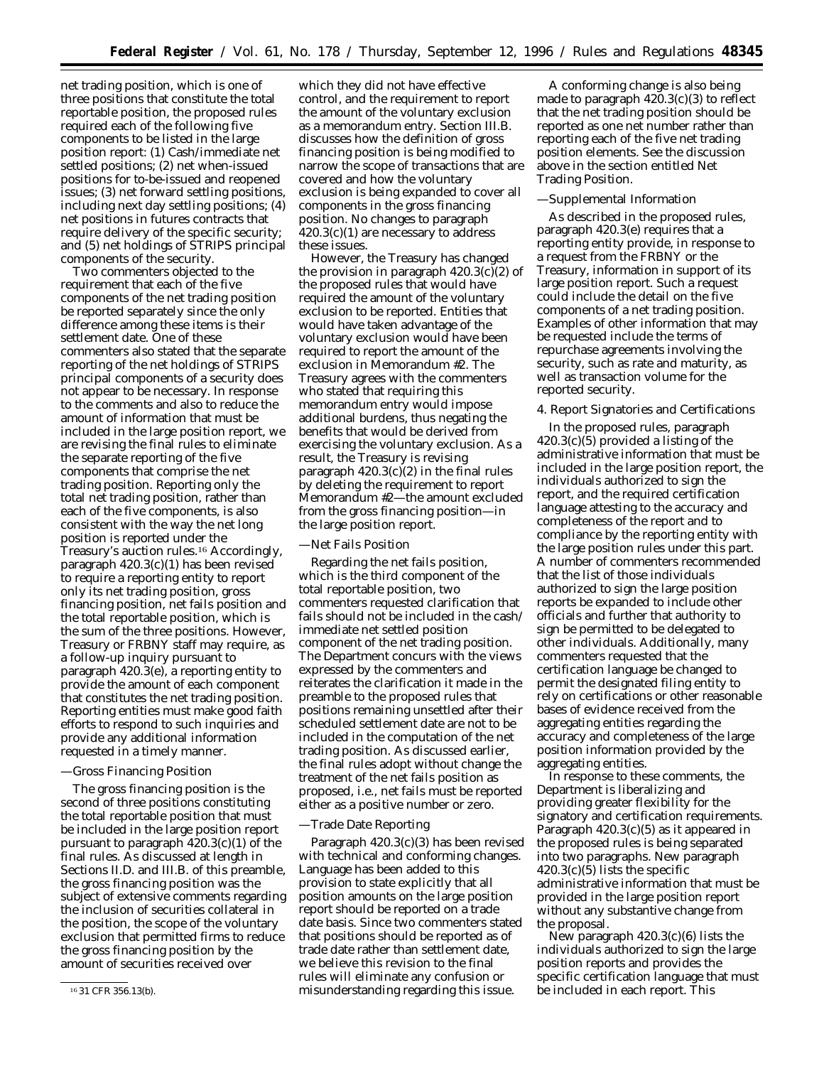net trading position, which is one of three positions that constitute the total reportable position, the proposed rules required each of the following five components to be listed in the large position report: (1) Cash/immediate net settled positions; (2) net when-issued positions for to-be-issued and reopened issues; (3) net forward settling positions, including next day settling positions; (4) net positions in futures contracts that require delivery of the specific security; and (5) net holdings of STRIPS principal components of the security.

Two commenters objected to the requirement that each of the five components of the net trading position be reported separately since the only difference among these items is their settlement date. One of these commenters also stated that the separate reporting of the net holdings of STRIPS principal components of a security does not appear to be necessary. In response to the comments and also to reduce the amount of information that must be included in the large position report, we are revising the final rules to eliminate the separate reporting of the five components that comprise the net trading position. Reporting only the total net trading position, rather than each of the five components, is also consistent with the way the net long position is reported under the Treasury's auction rules.16 Accordingly, paragraph 420.3(c)(1) has been revised to require a reporting entity to report only its net trading position, gross financing position, net fails position and the total reportable position, which is the sum of the three positions. However, Treasury or FRBNY staff may require, as a follow-up inquiry pursuant to paragraph 420.3(e), a reporting entity to provide the amount of each component that constitutes the net trading position. Reporting entities must make good faith efforts to respond to such inquiries and provide any additional information requested in a timely manner.

## —Gross Financing Position

The gross financing position is the second of three positions constituting the total reportable position that must be included in the large position report pursuant to paragraph 420.3(c)(1) of the final rules. As discussed at length in Sections II.D. and III.B. of this preamble, the gross financing position was the subject of extensive comments regarding the inclusion of securities collateral in the position, the scope of the voluntary exclusion that permitted firms to reduce the gross financing position by the amount of securities received over

which they did not have effective control, and the requirement to report the amount of the voluntary exclusion as a memorandum entry. Section III.B. discusses how the definition of gross financing position is being modified to narrow the scope of transactions that are covered and how the voluntary exclusion is being expanded to cover all components in the gross financing position. No changes to paragraph 420.3(c)(1) are necessary to address these issues.

However, the Treasury has changed the provision in paragraph  $420.3(c)(2)$  of the proposed rules that would have required the amount of the voluntary exclusion to be reported. Entities that would have taken advantage of the voluntary exclusion would have been required to report the amount of the exclusion in Memorandum #2. The Treasury agrees with the commenters who stated that requiring this memorandum entry would impose additional burdens, thus negating the benefits that would be derived from exercising the voluntary exclusion. As a result, the Treasury is revising paragraph  $420.3(c)(2)$  in the final rules by deleting the requirement to report Memorandum #2—the amount excluded from the gross financing position—in the large position report.

## —Net Fails Position

Regarding the net fails position, which is the third component of the total reportable position, two commenters requested clarification that fails should not be included in the cash/ immediate net settled position component of the net trading position. The Department concurs with the views expressed by the commenters and reiterates the clarification it made in the preamble to the proposed rules that positions remaining unsettled after their scheduled settlement date are not to be included in the computation of the net trading position. As discussed earlier, the final rules adopt without change the treatment of the net fails position as proposed, i.e., net fails must be reported either as a positive number or zero.

#### —Trade Date Reporting

Paragraph 420.3(c)(3) has been revised with technical and conforming changes. Language has been added to this provision to state explicitly that all position amounts on the large position report should be reported on a trade date basis. Since two commenters stated that positions should be reported as of trade date rather than settlement date, we believe this revision to the final rules will eliminate any confusion or misunderstanding regarding this issue.

A conforming change is also being made to paragraph 420.3(c)(3) to reflect that the net trading position should be reported as one net number rather than reporting each of the five net trading position elements. See the discussion above in the section entitled Net Trading Position.

### —Supplemental Information

As described in the proposed rules, paragraph 420.3(e) requires that a reporting entity provide, in response to a request from the FRBNY or the Treasury, information in support of its large position report. Such a request could include the detail on the five components of a net trading position. Examples of other information that may be requested include the terms of repurchase agreements involving the security, such as rate and maturity, as well as transaction volume for the reported security.

## 4. Report Signatories and Certifications

In the proposed rules, paragraph 420.3(c)(5) provided a listing of the administrative information that must be included in the large position report, the individuals authorized to sign the report, and the required certification language attesting to the accuracy and completeness of the report and to compliance by the reporting entity with the large position rules under this part. A number of commenters recommended that the list of those individuals authorized to sign the large position reports be expanded to include other officials and further that authority to sign be permitted to be delegated to other individuals. Additionally, many commenters requested that the certification language be changed to permit the designated filing entity to rely on certifications or other reasonable bases of evidence received from the aggregating entities regarding the accuracy and completeness of the large position information provided by the aggregating entities.

In response to these comments, the Department is liberalizing and providing greater flexibility for the signatory and certification requirements. Paragraph 420.3(c)(5) as it appeared in the proposed rules is being separated into two paragraphs. New paragraph  $420.3(c)(5)$  lists the specific administrative information that must be provided in the large position report without any substantive change from the proposal.

New paragraph 420.3(c)(6) lists the individuals authorized to sign the large position reports and provides the specific certification language that must be included in each report. This

<sup>16</sup> 31 CFR 356.13(b).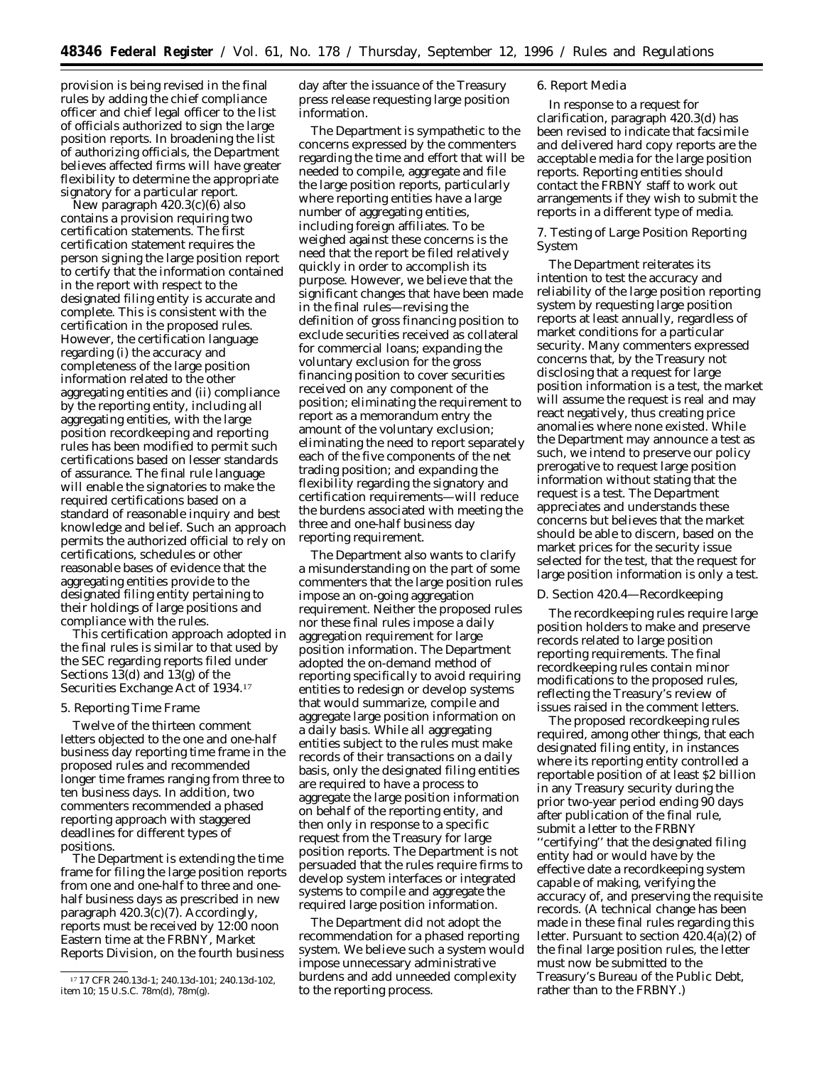provision is being revised in the final rules by adding the chief compliance officer and chief legal officer to the list of officials authorized to sign the large position reports. In broadening the list of authorizing officials, the Department believes affected firms will have greater flexibility to determine the appropriate signatory for a particular report.

New paragraph 420.3(c)(6) also contains a provision requiring two certification statements. The first certification statement requires the person signing the large position report to certify that the information contained in the report with respect to the designated filing entity is accurate and complete. This is consistent with the certification in the proposed rules. However, the certification language regarding (i) the accuracy and completeness of the large position information related to the other aggregating entities and (ii) compliance by the reporting entity, including all aggregating entities, with the large position recordkeeping and reporting rules has been modified to permit such certifications based on lesser standards of assurance. The final rule language will enable the signatories to make the required certifications based on a standard of reasonable inquiry and best knowledge and belief. Such an approach permits the authorized official to rely on certifications, schedules or other reasonable bases of evidence that the aggregating entities provide to the designated filing entity pertaining to their holdings of large positions and compliance with the rules.

This certification approach adopted in the final rules is similar to that used by the SEC regarding reports filed under Sections 13(d) and 13(g) of the Securities Exchange Act of 1934.17

### 5. Reporting Time Frame

Twelve of the thirteen comment letters objected to the one and one-half business day reporting time frame in the proposed rules and recommended longer time frames ranging from three to ten business days. In addition, two commenters recommended a phased reporting approach with staggered deadlines for different types of positions.

The Department is extending the time frame for filing the large position reports from one and one-half to three and onehalf business days as prescribed in new paragraph 420.3(c)(7). Accordingly, reports must be received by 12:00 noon Eastern time at the FRBNY, Market Reports Division, on the fourth business

day after the issuance of the Treasury press release requesting large position information.

The Department is sympathetic to the concerns expressed by the commenters regarding the time and effort that will be needed to compile, aggregate and file the large position reports, particularly where reporting entities have a large number of aggregating entities, including foreign affiliates. To be weighed against these concerns is the need that the report be filed relatively quickly in order to accomplish its purpose. However, we believe that the significant changes that have been made in the final rules—revising the definition of gross financing position to exclude securities received as collateral for commercial loans; expanding the voluntary exclusion for the gross financing position to cover securities received on any component of the position; eliminating the requirement to report as a memorandum entry the amount of the voluntary exclusion; eliminating the need to report separately each of the five components of the net trading position; and expanding the flexibility regarding the signatory and certification requirements—will reduce the burdens associated with meeting the three and one-half business day reporting requirement.

The Department also wants to clarify a misunderstanding on the part of some commenters that the large position rules impose an on-going aggregation requirement. Neither the proposed rules nor these final rules impose a daily aggregation requirement for large position information. The Department adopted the on-demand method of reporting specifically to avoid requiring entities to redesign or develop systems that would summarize, compile and aggregate large position information on a daily basis. While all aggregating entities subject to the rules must make records of their transactions on a daily basis, only the designated filing entities are required to have a process to aggregate the large position information on behalf of the reporting entity, and then only in response to a specific request from the Treasury for large position reports. The Department is not persuaded that the rules require firms to develop system interfaces or integrated systems to compile and aggregate the required large position information.

The Department did not adopt the recommendation for a phased reporting system. We believe such a system would impose unnecessary administrative burdens and add unneeded complexity to the reporting process.

### 6. Report Media

In response to a request for clarification, paragraph 420.3(d) has been revised to indicate that facsimile and delivered hard copy reports are the acceptable media for the large position reports. Reporting entities should contact the FRBNY staff to work out arrangements if they wish to submit the reports in a different type of media.

## 7. Testing of Large Position Reporting System

The Department reiterates its intention to test the accuracy and reliability of the large position reporting system by requesting large position reports at least annually, regardless of market conditions for a particular security. Many commenters expressed concerns that, by the Treasury not disclosing that a request for large position information is a test, the market will assume the request is real and may react negatively, thus creating price anomalies where none existed. While the Department may announce a test as such, we intend to preserve our policy prerogative to request large position information without stating that the request is a test. The Department appreciates and understands these concerns but believes that the market should be able to discern, based on the market prices for the security issue selected for the test, that the request for large position information is only a test.

## *D. Section 420.4—Recordkeeping*

The recordkeeping rules require large position holders to make and preserve records related to large position reporting requirements. The final recordkeeping rules contain minor modifications to the proposed rules, reflecting the Treasury's review of issues raised in the comment letters.

The proposed recordkeeping rules required, among other things, that each designated filing entity, in instances where its reporting entity controlled a reportable position of at least \$2 billion in any Treasury security during the prior two-year period ending 90 days after publication of the final rule, submit a letter to the FRBNY ''certifying'' that the designated filing entity had or would have by the effective date a recordkeeping system capable of making, verifying the accuracy of, and preserving the requisite records. (A technical change has been made in these final rules regarding this letter. Pursuant to section 420.4(a)(2) of the final large position rules, the letter must now be submitted to the Treasury's Bureau of the Public Debt, rather than to the FRBNY.)

<sup>17</sup> 17 CFR 240.13d-1; 240.13d-101; 240.13d-102, item 10; 15 U.S.C. 78m(d), 78m(g).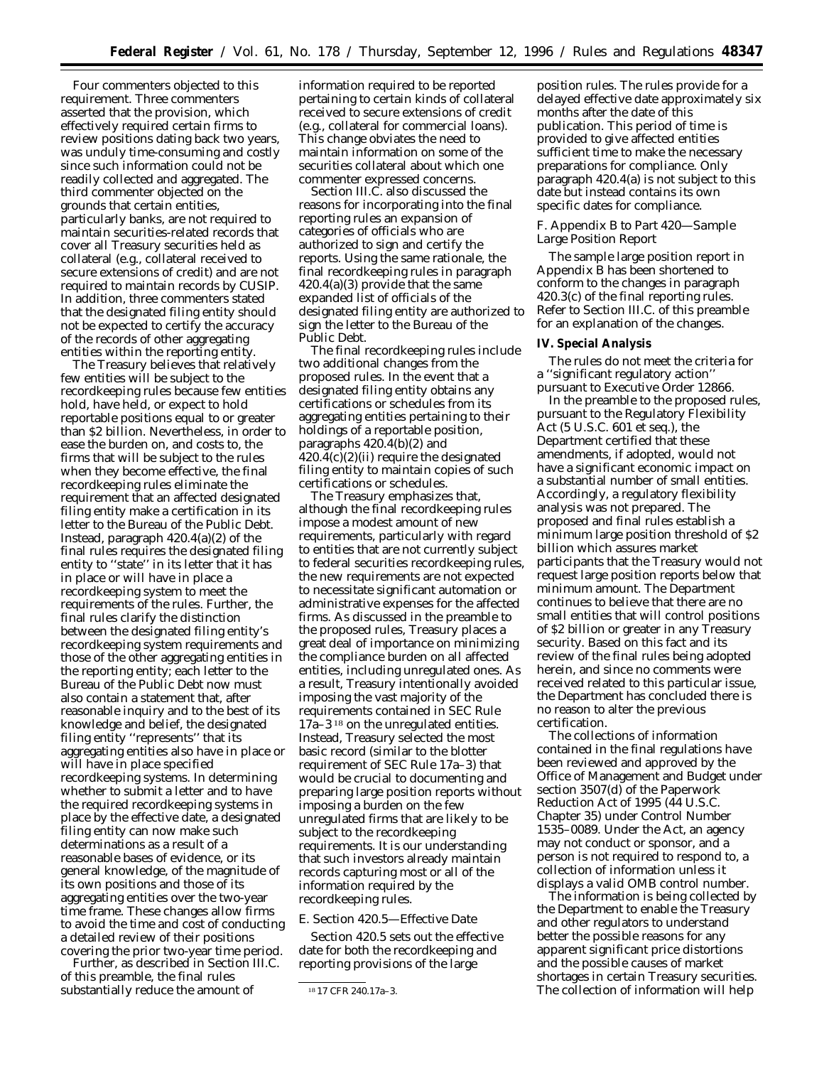Four commenters objected to this requirement. Three commenters asserted that the provision, which effectively required certain firms to review positions dating back two years, was unduly time-consuming and costly since such information could not be readily collected and aggregated. The third commenter objected on the grounds that certain entities, particularly banks, are not required to maintain securities-related records that cover all Treasury securities held as collateral (e.g., collateral received to secure extensions of credit) and are not required to maintain records by CUSIP. In addition, three commenters stated that the designated filing entity should not be expected to certify the accuracy of the records of other aggregating entities within the reporting entity.

The Treasury believes that relatively few entities will be subject to the recordkeeping rules because few entities hold, have held, or expect to hold reportable positions equal to or greater than \$2 billion. Nevertheless, in order to ease the burden on, and costs to, the firms that will be subject to the rules when they become effective, the final recordkeeping rules eliminate the requirement that an affected designated filing entity make a certification in its letter to the Bureau of the Public Debt. Instead, paragraph 420.4(a)(2) of the final rules requires the designated filing entity to ''state'' in its letter that it has in place or will have in place a recordkeeping system to meet the requirements of the rules. Further, the final rules clarify the distinction between the designated filing entity's recordkeeping system requirements and those of the other aggregating entities in the reporting entity; each letter to the Bureau of the Public Debt now must also contain a statement that, after reasonable inquiry and to the best of its knowledge and belief, the designated filing entity ''represents'' that its aggregating entities also have in place or will have in place specified recordkeeping systems. In determining whether to submit a letter and to have the required recordkeeping systems in place by the effective date, a designated filing entity can now make such determinations as a result of a reasonable bases of evidence, or its general knowledge, of the magnitude of its own positions and those of its aggregating entities over the two-year time frame. These changes allow firms to avoid the time and cost of conducting a detailed review of their positions covering the prior two-year time period.

Further, as described in Section III.C. of this preamble, the final rules substantially reduce the amount of

information required to be reported pertaining to certain kinds of collateral received to secure extensions of credit (e.g., collateral for commercial loans). This change obviates the need to maintain information on some of the securities collateral about which one commenter expressed concerns.

Section III.C. also discussed the reasons for incorporating into the final reporting rules an expansion of categories of officials who are authorized to sign and certify the reports. Using the same rationale, the final recordkeeping rules in paragraph 420.4(a)(3) provide that the same expanded list of officials of the designated filing entity are authorized to sign the letter to the Bureau of the Public Debt.

The final recordkeeping rules include two additional changes from the proposed rules. In the event that a designated filing entity obtains any certifications or schedules from its aggregating entities pertaining to their holdings of a reportable position, paragraphs 420.4(b)(2) and  $420.4(c)(2)(ii)$  require the designated filing entity to maintain copies of such certifications or schedules.

The Treasury emphasizes that, although the final recordkeeping rules impose a modest amount of new requirements, particularly with regard to entities that are not currently subject to federal securities recordkeeping rules, the new requirements are not expected to necessitate significant automation or administrative expenses for the affected firms. As discussed in the preamble to the proposed rules, Treasury places a great deal of importance on minimizing the compliance burden on all affected entities, including unregulated ones. As a result, Treasury intentionally avoided imposing the vast majority of the requirements contained in SEC Rule 17a–3 18 on the unregulated entities. Instead, Treasury selected the most basic record (similar to the blotter requirement of SEC Rule 17a–3) that would be crucial to documenting and preparing large position reports without imposing a burden on the few unregulated firms that are likely to be subject to the recordkeeping requirements. It is our understanding that such investors already maintain records capturing most or all of the information required by the recordkeeping rules.

### *E. Section 420.5—Effective Date*

Section 420.5 sets out the effective date for both the recordkeeping and reporting provisions of the large

position rules. The rules provide for a delayed effective date approximately six months after the date of this publication. This period of time is provided to give affected entities sufficient time to make the necessary preparations for compliance. Only paragraph 420.4(a) is not subject to this date but instead contains its own specific dates for compliance.

## *F. Appendix B to Part 420—Sample Large Position Report*

The sample large position report in Appendix B has been shortened to conform to the changes in paragraph 420.3(c) of the final reporting rules. Refer to Section III.C. of this preamble for an explanation of the changes.

### **IV. Special Analysis**

The rules do not meet the criteria for a ''significant regulatory action'' pursuant to Executive Order 12866.

In the preamble to the proposed rules, pursuant to the Regulatory Flexibility Act (5 U.S.C. 601 *et seq.*), the Department certified that these amendments, if adopted, would not have a significant economic impact on a substantial number of small entities. Accordingly, a regulatory flexibility analysis was not prepared. The proposed and final rules establish a minimum large position threshold of \$2 billion which assures market participants that the Treasury would not request large position reports below that minimum amount. The Department continues to believe that there are no small entities that will control positions of \$2 billion or greater in any Treasury security. Based on this fact and its review of the final rules being adopted herein, and since no comments were received related to this particular issue, the Department has concluded there is no reason to alter the previous certification.

The collections of information contained in the final regulations have been reviewed and approved by the Office of Management and Budget under section 3507(d) of the Paperwork Reduction Act of 1995 (44 U.S.C. Chapter 35) under Control Number 1535–0089. Under the Act, an agency may not conduct or sponsor, and a person is not required to respond to, a collection of information unless it displays a valid OMB control number.

The information is being collected by the Department to enable the Treasury and other regulators to understand better the possible reasons for any apparent significant price distortions and the possible causes of market shortages in certain Treasury securities. The collection of information will help

<sup>18</sup> 17 CFR 240.17a–3.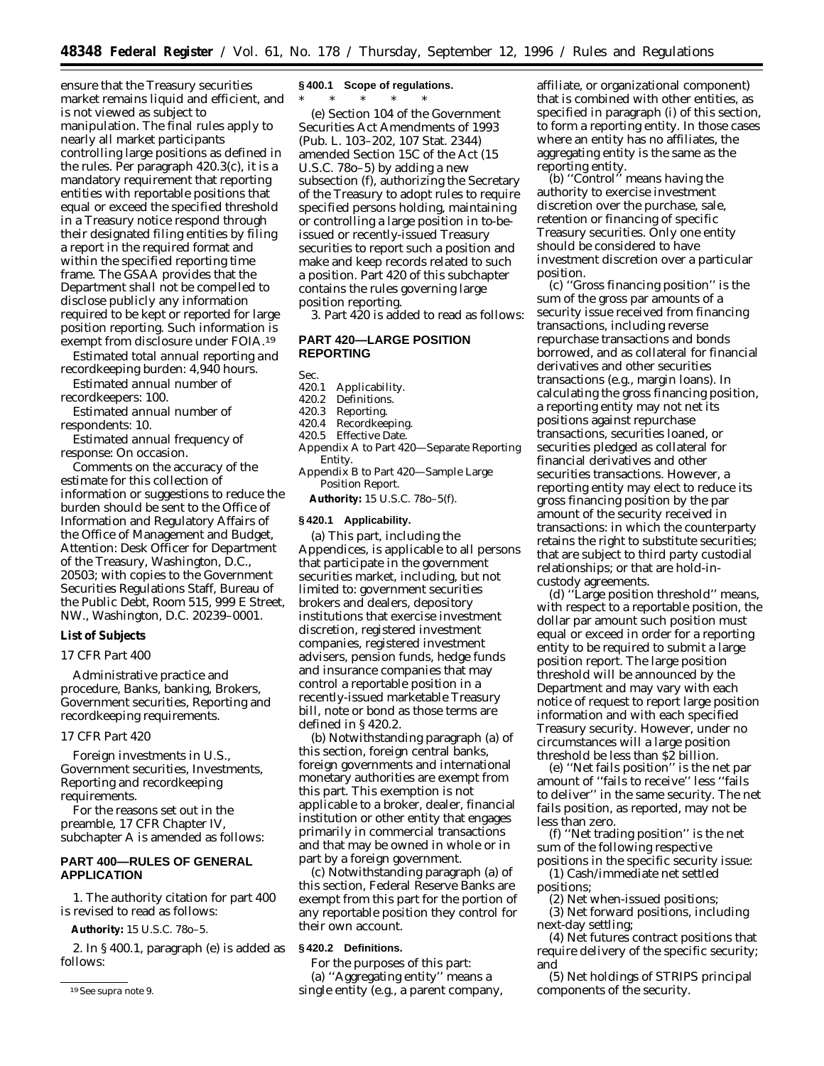ensure that the Treasury securities market remains liquid and efficient, and is not viewed as subject to manipulation. The final rules apply to nearly all market participants controlling large positions as defined in the rules. Per paragraph 420.3(c), it is a mandatory requirement that reporting entities with reportable positions that equal or exceed the specified threshold in a Treasury notice respond through their designated filing entities by filing a report in the required format and within the specified reporting time frame. The GSAA provides that the Department shall not be compelled to disclose publicly any information required to be kept or reported for large position reporting. Such information is exempt from disclosure under FOIA.19

*Estimated total annual reporting and recordkeeping burden:* 4,940 hours.

*Estimated annual number of recordkeepers:* 100.

*Estimated annual number of respondents:* 10.

*Estimated annual frequency of response:* On occasion.

Comments on the accuracy of the estimate for this collection of information or suggestions to reduce the burden should be sent to the Office of Information and Regulatory Affairs of the Office of Management and Budget, Attention: Desk Officer for Department of the Treasury, Washington, D.C., 20503; with copies to the Government Securities Regulations Staff, Bureau of the Public Debt, Room 515, 999 E Street, NW., Washington, D.C. 20239–0001.

## **List of Subjects**

## *17 CFR Part 400*

Administrative practice and procedure, Banks, banking, Brokers, Government securities, Reporting and recordkeeping requirements.

## *17 CFR Part 420*

Foreign investments in U.S., Government securities, Investments, Reporting and recordkeeping requirements.

For the reasons set out in the preamble, 17 CFR Chapter IV, subchapter A is amended as follows:

## **PART 400—RULES OF GENERAL APPLICATION**

1. The authority citation for part 400 is revised to read as follows:

**Authority:** 15 U.S.C. 78*o*–5.

2. In § 400.1, paragraph (e) is added as follows:

### **§ 400.1 Scope of regulations.**

\* \* \* \* \*

(e) Section 104 of the Government Securities Act Amendments of 1993 (Pub. L. 103–202, 107 Stat. 2344) amended Section 15C of the Act (15 U.S.C. 78*o*–5) by adding a new subsection (f), authorizing the Secretary of the Treasury to adopt rules to require specified persons holding, maintaining or controlling a large position in to-beissued or recently-issued Treasury securities to report such a position and make and keep records related to such a position. Part 420 of this subchapter contains the rules governing large position reporting.

3. Part 420 is added to read as follows:

# **PART 420—LARGE POSITION REPORTING**

Sec.<br>420.1

- 420.1 Applicability.<br>420.2 Definitions
- 420.2 Definitions.<br>420.3 Reporting.
- 420.3 Reporting.<br>420.4 Recordkee
- Recordkeeping.
- 420.5 Effective Date.
- Appendix A to Part 420—Separate Reporting Entity.
- Appendix B to Part 420—Sample Large Position Report.

**Authority:** 15 U.S.C. 78*o*–5(f).

#### **§ 420.1 Applicability.**

(a) This part, including the Appendices, is applicable to all persons that participate in the government securities market, including, but not limited to: government securities brokers and dealers, depository institutions that exercise investment discretion, registered investment companies, registered investment advisers, pension funds, hedge funds and insurance companies that may control a reportable position in a recently-issued marketable Treasury bill, note or bond as those terms are defined in § 420.2.

(b) Notwithstanding paragraph (a) of this section, foreign central banks, foreign governments and international monetary authorities are exempt from this part. This exemption is not applicable to a broker, dealer, financial institution or other entity that engages primarily in commercial transactions and that may be owned in whole or in part by a foreign government.

(c) Notwithstanding paragraph (a) of this section, Federal Reserve Banks are exempt from this part for the portion of any reportable position they control for their own account.

# **§ 420.2 Definitions.**

For the purposes of this part: (a) ''Aggregating entity'' means a single entity (e.g., a parent company, affiliate, or organizational component) that is combined with other entities, as specified in paragraph (i) of this section, to form a reporting entity. In those cases where an entity has no affiliates, the aggregating entity is the same as the reporting entity.

(b) ''Control'' means having the authority to exercise investment discretion over the purchase, sale, retention or financing of specific Treasury securities. Only one entity should be considered to have investment discretion over a particular position.

(c) ''Gross financing position'' is the sum of the gross par amounts of a security issue received from financing transactions, including reverse repurchase transactions and bonds borrowed, and as collateral for financial derivatives and other securities transactions (e.g., margin loans). In calculating the gross financing position, a reporting entity may not net its positions against repurchase transactions, securities loaned, or securities pledged as collateral for financial derivatives and other securities transactions. However, a reporting entity may elect to reduce its gross financing position by the par amount of the security received in transactions: in which the counterparty retains the right to substitute securities; that are subject to third party custodial relationships; or that are hold-incustody agreements.

(d) ''Large position threshold'' means, with respect to a reportable position, the dollar par amount such position must equal or exceed in order for a reporting entity to be required to submit a large position report. The large position threshold will be announced by the Department and may vary with each notice of request to report large position information and with each specified Treasury security. However, under no circumstances will a large position threshold be less than \$2 billion.

(e) ''Net fails position'' is the net par amount of ''fails to receive'' less ''fails to deliver'' in the same security. The net fails position, as reported, may not be less than zero.

(f) ''Net trading position'' is the net sum of the following respective positions in the specific security issue:

(1) Cash/immediate net settled positions;

(2) Net when-issued positions;

(3) Net forward positions, including next-day settling;

(4) Net futures contract positions that require delivery of the specific security; and

(5) Net holdings of STRIPS principal components of the security.

<sup>19</sup>*See supra* note 9.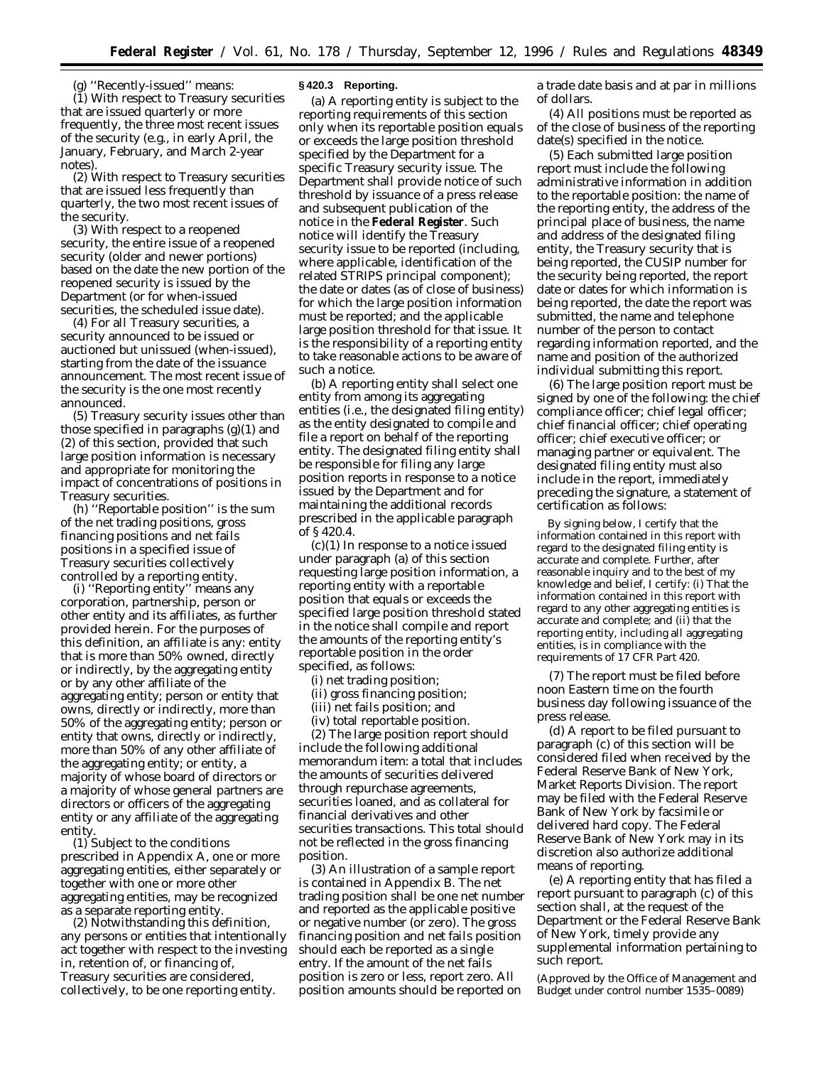(g) ''Recently-issued'' means: (1) With respect to Treasury securities that are issued quarterly or more frequently, the three most recent issues of the security (e.g., in early April, the January, February, and March 2-year notes).

(2) With respect to Treasury securities that are issued less frequently than quarterly, the two most recent issues of the security.

(3) With respect to a reopened security, the entire issue of a reopened security (older and newer portions) based on the date the new portion of the reopened security is issued by the Department (or for when-issued securities, the scheduled issue date).

(4) For all Treasury securities, a security announced to be issued or auctioned but unissued (when-issued), starting from the date of the issuance announcement. The most recent issue of the security is the one most recently announced.

(5) Treasury security issues other than those specified in paragraphs (g)(1) and (2) of this section, provided that such large position information is necessary and appropriate for monitoring the impact of concentrations of positions in Treasury securities.

(h) ''Reportable position'' is the sum of the net trading positions, gross financing positions and net fails positions in a specified issue of Treasury securities collectively controlled by a reporting entity.

(i) ''Reporting entity'' means any corporation, partnership, person or other entity and its affiliates, as further provided herein. For the purposes of this definition, an affiliate is any: entity that is more than 50% owned, directly or indirectly, by the aggregating entity or by any other affiliate of the aggregating entity; person or entity that owns, directly or indirectly, more than 50% of the aggregating entity; person or entity that owns, directly or indirectly, more than 50% of any other affiliate of the aggregating entity; or entity, a majority of whose board of directors or a majority of whose general partners are directors or officers of the aggregating entity or any affiliate of the aggregating entity.

(1) Subject to the conditions prescribed in Appendix A, one or more aggregating entities, either separately or together with one or more other aggregating entities, may be recognized as a separate reporting entity.

(2) Notwithstanding this definition, any persons or entities that intentionally act together with respect to the investing in, retention of, or financing of, Treasury securities are considered, collectively, to be one reporting entity.

#### **§ 420.3 Reporting.**

(a) A reporting entity is subject to the reporting requirements of this section only when its reportable position equals or exceeds the large position threshold specified by the Department for a specific Treasury security issue. The Department shall provide notice of such threshold by issuance of a press release and subsequent publication of the notice in the **Federal Register**. Such notice will identify the Treasury security issue to be reported (including, where applicable, identification of the related STRIPS principal component); the date or dates (as of close of business) for which the large position information must be reported; and the applicable large position threshold for that issue. It is the responsibility of a reporting entity to take reasonable actions to be aware of such a notice.

(b) A reporting entity shall select one entity from among its aggregating entities (i.e., the designated filing entity) as the entity designated to compile and file a report on behalf of the reporting entity. The designated filing entity shall be responsible for filing any large position reports in response to a notice issued by the Department and for maintaining the additional records prescribed in the applicable paragraph of § 420.4.

(c)(1) In response to a notice issued under paragraph (a) of this section requesting large position information, a reporting entity with a reportable position that equals or exceeds the specified large position threshold stated in the notice shall compile and report the amounts of the reporting entity's reportable position in the order specified, as follows:

(i) net trading position;

(ii) gross financing position;

(iii) net fails position; and

(iv) total reportable position.

(2) The large position report should include the following additional memorandum item: a total that includes the amounts of securities delivered through repurchase agreements, securities loaned, and as collateral for financial derivatives and other securities transactions. This total should not be reflected in the gross financing position.

(3) An illustration of a sample report is contained in Appendix B. The net trading position shall be one net number and reported as the applicable positive or negative number (or zero). The gross financing position and net fails position should each be reported as a single entry. If the amount of the net fails position is zero or less, report zero. All position amounts should be reported on

a trade date basis and at par in millions of dollars.

(4) All positions must be reported as of the close of business of the reporting date(s) specified in the notice.

(5) Each submitted large position report must include the following administrative information in addition to the reportable position: the name of the reporting entity, the address of the principal place of business, the name and address of the designated filing entity, the Treasury security that is being reported, the CUSIP number for the security being reported, the report date or dates for which information is being reported, the date the report was submitted, the name and telephone number of the person to contact regarding information reported, and the name and position of the authorized individual submitting this report.

(6) The large position report must be signed by one of the following: the chief compliance officer; chief legal officer; chief financial officer; chief operating officer; chief executive officer; or managing partner or equivalent. The designated filing entity must also include in the report, immediately preceding the signature, a statement of certification as follows:

By signing below, I certify that the information contained in this report with regard to the designated filing entity is accurate and complete. Further, after reasonable inquiry and to the best of my knowledge and belief, I certify: (i) That the information contained in this report with regard to any other aggregating entities is accurate and complete; and (ii) that the reporting entity, including all aggregating entities, is in compliance with the requirements of 17 CFR Part 420.

(7) The report must be filed before noon Eastern time on the fourth business day following issuance of the press release.

(d) A report to be filed pursuant to paragraph (c) of this section will be considered filed when received by the Federal Reserve Bank of New York, Market Reports Division. The report may be filed with the Federal Reserve Bank of New York by facsimile or delivered hard copy. The Federal Reserve Bank of New York may in its discretion also authorize additional means of reporting.

(e) A reporting entity that has filed a report pursuant to paragraph (c) of this section shall, at the request of the Department or the Federal Reserve Bank of New York, timely provide any supplemental information pertaining to such report.

(Approved by the Office of Management and Budget under control number 1535–0089)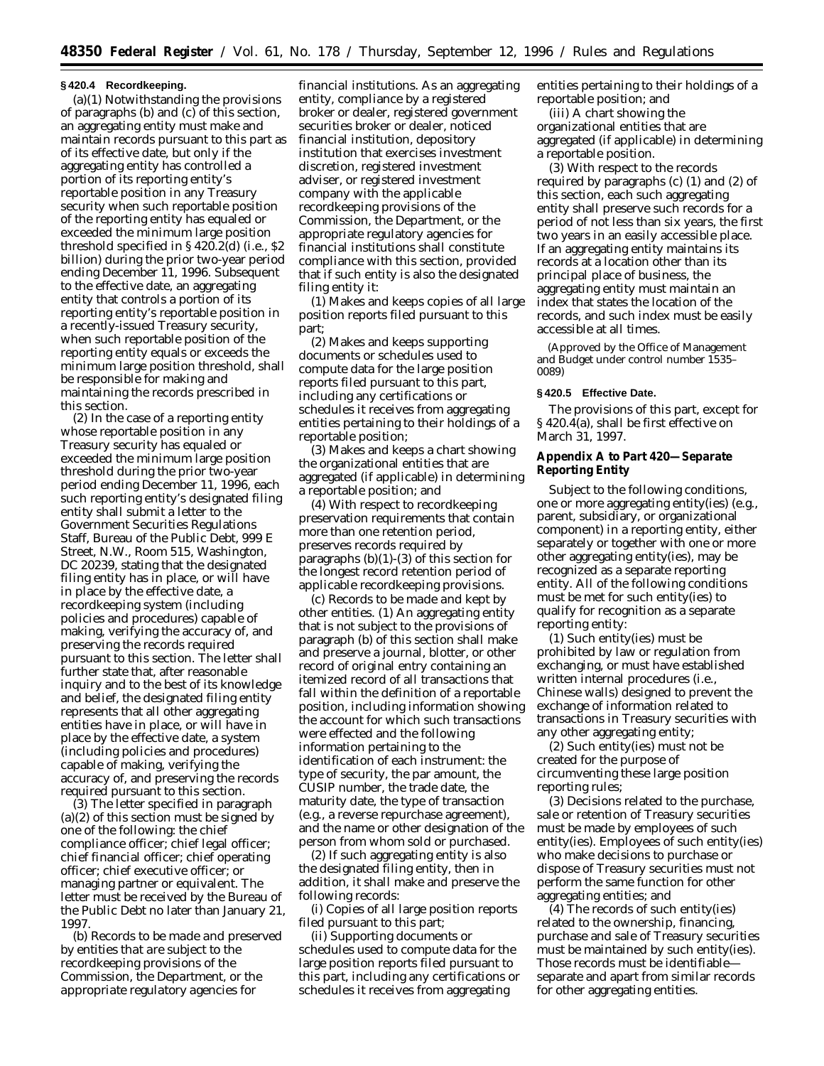### **§ 420.4 Recordkeeping.**

(a)(1) Notwithstanding the provisions of paragraphs (b) and (c) of this section, an aggregating entity must make and maintain records pursuant to this part as of its effective date, but only if the aggregating entity has controlled a portion of its reporting entity's reportable position in any Treasury security when such reportable position of the reporting entity has equaled or exceeded the minimum large position threshold specified in § 420.2(d) (i.e., \$2 billion) during the prior two-year period ending December 11, 1996. Subsequent to the effective date, an aggregating entity that controls a portion of its reporting entity's reportable position in a recently-issued Treasury security, when such reportable position of the reporting entity equals or exceeds the minimum large position threshold, shall be responsible for making and maintaining the records prescribed in this section.

(2) In the case of a reporting entity whose reportable position in any Treasury security has equaled or exceeded the minimum large position threshold during the prior two-year period ending December 11, 1996, each such reporting entity's designated filing entity shall submit a letter to the Government Securities Regulations Staff, Bureau of the Public Debt, 999 E Street, N.W., Room 515, Washington, DC 20239, stating that the designated filing entity has in place, or will have in place by the effective date, a recordkeeping system (including policies and procedures) capable of making, verifying the accuracy of, and preserving the records required pursuant to this section. The letter shall further state that, after reasonable inquiry and to the best of its knowledge and belief, the designated filing entity represents that all other aggregating entities have in place, or will have in place by the effective date, a system (including policies and procedures) capable of making, verifying the accuracy of, and preserving the records required pursuant to this section.

(3) The letter specified in paragraph  $(a)(2)$  of this section must be signed by one of the following: the chief compliance officer; chief legal officer; chief financial officer; chief operating officer; chief executive officer; or managing partner or equivalent. The letter must be received by the Bureau of the Public Debt no later than January 21, 1997.

(b) *Records to be made and preserved by entities that are subject to the recordkeeping provisions of the Commission, the Department, or the appropriate regulatory agencies for*

*financial institutions.* As an aggregating entity, compliance by a registered broker or dealer, registered government securities broker or dealer, noticed financial institution, depository institution that exercises investment discretion, registered investment adviser, or registered investment company with the applicable recordkeeping provisions of the Commission, the Department, or the appropriate regulatory agencies for financial institutions shall constitute compliance with this section, provided that if such entity is also the designated filing entity it:

(1) Makes and keeps copies of all large position reports filed pursuant to this part;

(2) Makes and keeps supporting documents or schedules used to compute data for the large position reports filed pursuant to this part, including any certifications or schedules it receives from aggregating entities pertaining to their holdings of a reportable position;

(3) Makes and keeps a chart showing the organizational entities that are aggregated (if applicable) in determining a reportable position; and

(4) With respect to recordkeeping preservation requirements that contain more than one retention period, preserves records required by paragraphs (b)(1)-(3) of this section for the longest record retention period of applicable recordkeeping provisions.

(c) *Records to be made and kept by other entities.* (1) An aggregating entity that is not subject to the provisions of paragraph (b) of this section shall make and preserve a journal, blotter, or other record of original entry containing an itemized record of all transactions that fall within the definition of a reportable position, including information showing the account for which such transactions were effected and the following information pertaining to the identification of each instrument: the type of security, the par amount, the CUSIP number, the trade date, the maturity date, the type of transaction (e.g., a reverse repurchase agreement), and the name or other designation of the person from whom sold or purchased.

(2) If such aggregating entity is also the designated filing entity, then in addition, it shall make and preserve the following records:

(i) Copies of all large position reports filed pursuant to this part;

(ii) Supporting documents or schedules used to compute data for the large position reports filed pursuant to this part, including any certifications or schedules it receives from aggregating

entities pertaining to their holdings of a reportable position; and

(iii) A chart showing the organizational entities that are aggregated (if applicable) in determining a reportable position.

(3) With respect to the records required by paragraphs (c) (1) and (2) of this section, each such aggregating entity shall preserve such records for a period of not less than six years, the first two years in an easily accessible place. If an aggregating entity maintains its records at a location other than its principal place of business, the aggregating entity must maintain an index that states the location of the records, and such index must be easily accessible at all times.

(Approved by the Office of Management and Budget under control number 1535– 0089)

#### **§ 420.5 Effective Date.**

The provisions of this part, except for § 420.4(a), shall be first effective on March 31, 1997.

**Appendix A to Part 420—Separate Reporting Entity**

Subject to the following conditions, one or more aggregating entity(ies) (e.g., parent, subsidiary, or organizational component) in a reporting entity, either separately or together with one or more other aggregating entity(ies), may be recognized as a separate reporting entity. All of the following conditions must be met for such entity(ies) to qualify for recognition as a separate reporting entity:

(1) Such entity(ies) must be prohibited by law or regulation from exchanging, or must have established written internal procedures (i.e., Chinese walls) designed to prevent the exchange of information related to transactions in Treasury securities with any other aggregating entity;

(2) Such entity(ies) must not be created for the purpose of circumventing these large position reporting rules;

(3) Decisions related to the purchase, sale or retention of Treasury securities must be made by employees of such entity(ies). Employees of such entity(ies) who make decisions to purchase or dispose of Treasury securities must not perform the same function for other aggregating entities; and

(4) The records of such entity(ies) related to the ownership, financing, purchase and sale of Treasury securities must be maintained by such entity(ies). Those records must be identifiable separate and apart from similar records for other aggregating entities.